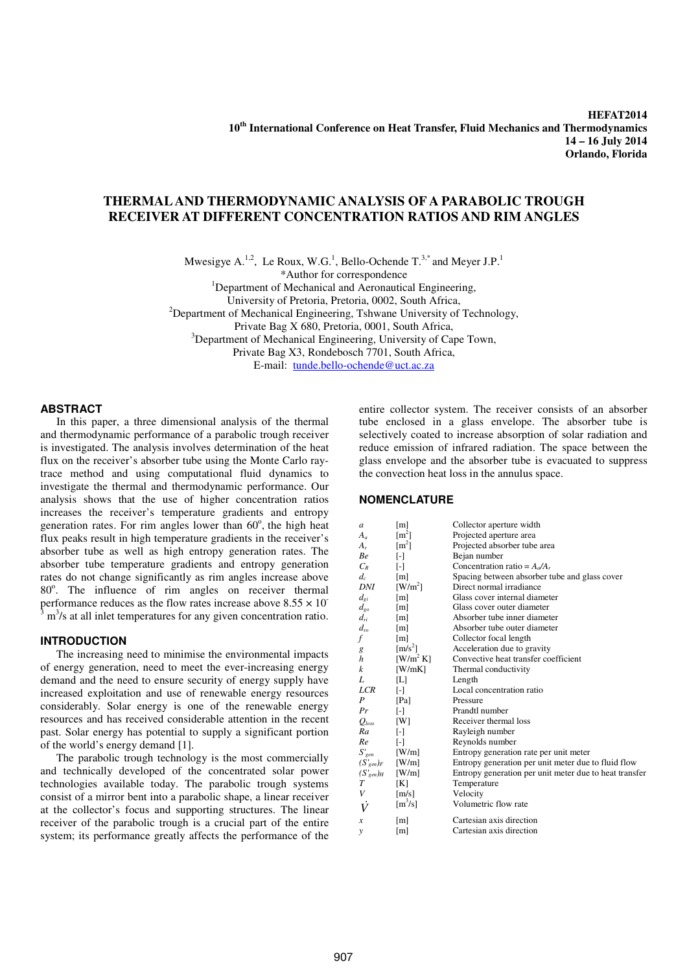**HEFAT2014 10th International Conference on Heat Transfer, Fluid Mechanics and Thermodynamics 14 – 16 July 2014 Orlando, Florida** 

# **THERMAL AND THERMODYNAMIC ANALYSIS OF A PARABOLIC TROUGH RECEIVER AT DIFFERENT CONCENTRATION RATIOS AND RIM ANGLES**

Mwesigye A.<sup>1,2</sup>, Le Roux, W.G.<sup>1</sup>, Bello-Ochende  $T^{3,*}$  and Meyer J.P.<sup>1</sup>

\*Author for correspondence

<sup>1</sup>Department of Mechanical and Aeronautical Engineering,

University of Pretoria, Pretoria, 0002, South Africa,

 $2$ Department of Mechanical Engineering, Tshwane University of Technology,

Private Bag X 680, Pretoria, 0001, South Africa,

<sup>3</sup>Department of Mechanical Engineering, University of Cape Town,

Private Bag X3, Rondebosch 7701, South Africa,

E-mail: tunde.bello-ochende@uct.ac.za

## **ABSTRACT**

In this paper, a three dimensional analysis of the thermal and thermodynamic performance of a parabolic trough receiver is investigated. The analysis involves determination of the heat flux on the receiver's absorber tube using the Monte Carlo raytrace method and using computational fluid dynamics to investigate the thermal and thermodynamic performance. Our analysis shows that the use of higher concentration ratios increases the receiver's temperature gradients and entropy generation rates. For rim angles lower than  $60^\circ$ , the high heat flux peaks result in high temperature gradients in the receiver's absorber tube as well as high entropy generation rates. The absorber tube temperature gradients and entropy generation rates do not change significantly as rim angles increase above 80°. The influence of rim angles on receiver thermal performance reduces as the flow rates increase above  $8.55 \times 10^{-3}$ <br> $\frac{3 \text{ m}^3}{2}$  at all inlet temperatures for any given concentration ratio m<sup>3</sup>/s at all inlet temperatures for any given concentration ratio.

# **INTRODUCTION**

The increasing need to minimise the environmental impacts of energy generation, need to meet the ever-increasing energy demand and the need to ensure security of energy supply have increased exploitation and use of renewable energy resources considerably. Solar energy is one of the renewable energy resources and has received considerable attention in the recent past. Solar energy has potential to supply a significant portion of the world's energy demand [1].

The parabolic trough technology is the most commercially and technically developed of the concentrated solar power technologies available today. The parabolic trough systems consist of a mirror bent into a parabolic shape, a linear receiver at the collector's focus and supporting structures. The linear receiver of the parabolic trough is a crucial part of the entire system; its performance greatly affects the performance of the

entire collector system. The receiver consists of an absorber tube enclosed in a glass envelope. The absorber tube is selectively coated to increase absorption of solar radiation and reduce emission of infrared radiation. The space between the glass envelope and the absorber tube is evacuated to suppress the convection heat loss in the annulus space.

# **NOMENCLATURE**

| a                               | [m]                                   | Collector aperture width                               |  |  |
|---------------------------------|---------------------------------------|--------------------------------------------------------|--|--|
| $A_a$                           | $\lceil m^2 \rceil$                   | Projected aperture area                                |  |  |
| $A_{r}$                         | $\lceil m^2 \rceil$                   | Projected absorber tube area                           |  |  |
| Вe                              | $\lbrack \cdot \rbrack$               | Bejan number                                           |  |  |
| $C_{\scriptscriptstyle R}$      | ſ-1                                   | Concentration ratio = $A_{a}/A_{r}$                    |  |  |
| $d_c$                           | [m]                                   | Spacing between absorber tube and glass cover          |  |  |
| DNI                             | $\left[\text{W/m}^2\right]$           | Direct normal irradiance                               |  |  |
| $d_{\scriptscriptstyle{gl}}$    | $\lceil m \rceil$                     | Glass cover internal diameter                          |  |  |
| $d_{go}$                        | $\lceil m \rceil$                     | Glass cover outer diameter                             |  |  |
| $d_{ri}$                        | $\lceil m \rceil$                     | Absorber tube inner diameter                           |  |  |
| $d_{ro}$                        | $\lceil m \rceil$                     | Absorber tube outer diameter                           |  |  |
| f                               | $\lceil m \rceil$                     | Collector focal length                                 |  |  |
|                                 | $\left[\text{m/s}^2\right]$           | Acceleration due to gravity                            |  |  |
| g<br>h                          | $\left[\text{W/m}^2 \text{ K}\right]$ | Convective heat transfer coefficient                   |  |  |
| k                               | [W/mK]                                | Thermal conductivity                                   |  |  |
| L                               | IЫ                                    | Length                                                 |  |  |
| LCR                             | -1                                    | Local concentration ratio                              |  |  |
| P                               | [Pa]                                  | Pressure                                               |  |  |
| Pr                              | ſ-1                                   | Prandtl number                                         |  |  |
| $\mathcal{Q}_\textit{loss}$     | [W]                                   | Receiver thermal loss                                  |  |  |
| Ra                              | ſ-1                                   | Rayleigh number                                        |  |  |
| Re                              | H                                     | Reynolds number                                        |  |  |
| $S'$ <sub>gen</sub>             | [W/m]                                 | Entropy generation rate per unit meter                 |  |  |
| $(S'_{gen})_F$                  | [W/m]                                 | Entropy generation per unit meter due to fluid flow    |  |  |
| $({S'}_{\hspace{-0.3mm}gen})_H$ | [W/m]                                 | Entropy generation per unit meter due to heat transfer |  |  |
| Т                               | [K]                                   | Temperature                                            |  |  |
| V                               | $\lceil m/s \rceil$                   | Velocity                                               |  |  |
| V                               | $\left[\text{m}^3/\text{s}\right]$    | Volumetric flow rate                                   |  |  |
| x                               | [m]                                   | Cartesian axis direction                               |  |  |
| v                               | m                                     | Cartesian axis direction                               |  |  |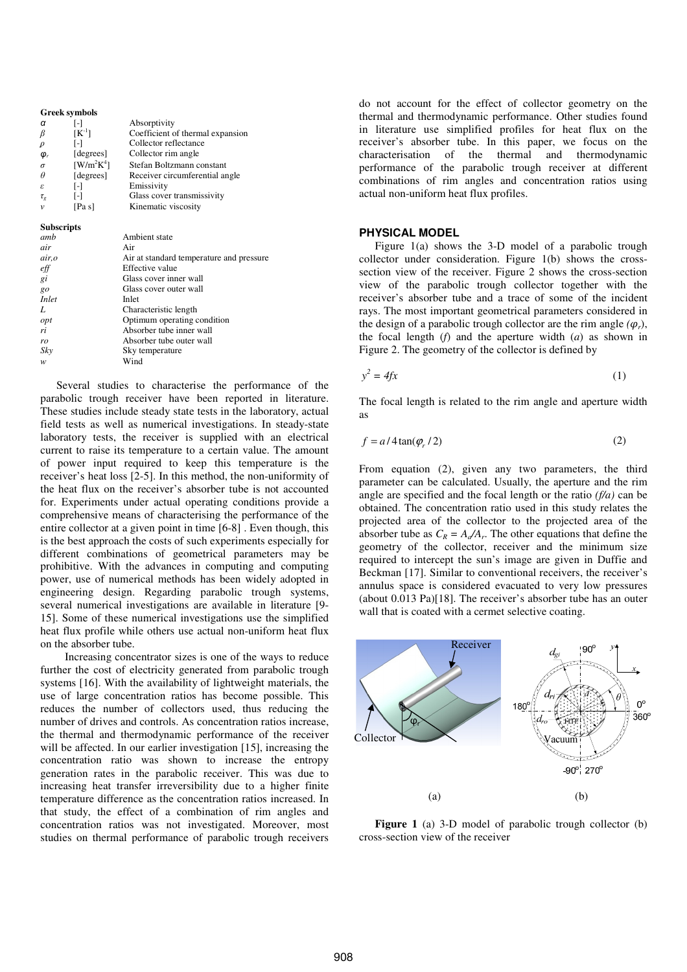| <b>Greek symbols</b>     |                                       |                                          |  |  |  |  |  |  |
|--------------------------|---------------------------------------|------------------------------------------|--|--|--|--|--|--|
| α                        | Ŀ1                                    | Absorptivity                             |  |  |  |  |  |  |
| β                        | $[K^{-1}]$                            | Coefficient of thermal expansion         |  |  |  |  |  |  |
| ρ                        | $\left[ -\right]$                     | Collector reflectance                    |  |  |  |  |  |  |
| $\boldsymbol{\varphi}_r$ | [degrees]                             | Collector rim angle                      |  |  |  |  |  |  |
| $\sigma$                 | $\left[\text{W/m}^2\text{K}^4\right]$ | Stefan Boltzmann constant                |  |  |  |  |  |  |
| $\theta$                 | [degrees]                             | Receiver circumferential angle           |  |  |  |  |  |  |
| ε                        | $\left[ -\right]$                     | Emissivity                               |  |  |  |  |  |  |
| $\tau_g$                 | $\lceil - \rceil$                     | Glass cover transmissivity               |  |  |  |  |  |  |
| v                        | [Pa s]                                | Kinematic viscosity                      |  |  |  |  |  |  |
| <b>Subscripts</b>        |                                       |                                          |  |  |  |  |  |  |
| amb                      |                                       | Ambient state                            |  |  |  |  |  |  |
| air                      |                                       | Air                                      |  |  |  |  |  |  |
| air, o                   |                                       | Air at standard temperature and pressure |  |  |  |  |  |  |
| eff                      |                                       | Effective value                          |  |  |  |  |  |  |
| gi                       |                                       | Glass cover inner wall                   |  |  |  |  |  |  |
| $g_0$                    |                                       | Glass cover outer wall                   |  |  |  |  |  |  |
| Inlet                    |                                       | Inlet                                    |  |  |  |  |  |  |
| L                        |                                       | Characteristic length                    |  |  |  |  |  |  |
| opt                      |                                       | Optimum operating condition              |  |  |  |  |  |  |
| ri                       |                                       | Absorber tube inner wall                 |  |  |  |  |  |  |
| ro                       |                                       | Absorber tube outer wall                 |  |  |  |  |  |  |
| Skv                      |                                       | Sky temperature                          |  |  |  |  |  |  |
| w                        |                                       | Wind                                     |  |  |  |  |  |  |

Several studies to characterise the performance of the parabolic trough receiver have been reported in literature. These studies include steady state tests in the laboratory, actual field tests as well as numerical investigations. In steady-state laboratory tests, the receiver is supplied with an electrical current to raise its temperature to a certain value. The amount of power input required to keep this temperature is the receiver's heat loss [2-5]. In this method, the non-uniformity of the heat flux on the receiver's absorber tube is not accounted for. Experiments under actual operating conditions provide a comprehensive means of characterising the performance of the entire collector at a given point in time [6-8] . Even though, this is the best approach the costs of such experiments especially for different combinations of geometrical parameters may be prohibitive. With the advances in computing and computing power, use of numerical methods has been widely adopted in engineering design. Regarding parabolic trough systems, several numerical investigations are available in literature [9- 15]. Some of these numerical investigations use the simplified heat flux profile while others use actual non-uniform heat flux on the absorber tube.

 Increasing concentrator sizes is one of the ways to reduce further the cost of electricity generated from parabolic trough systems [16]. With the availability of lightweight materials, the use of large concentration ratios has become possible. This reduces the number of collectors used, thus reducing the number of drives and controls. As concentration ratios increase, the thermal and thermodynamic performance of the receiver will be affected. In our earlier investigation [15], increasing the concentration ratio was shown to increase the entropy generation rates in the parabolic receiver. This was due to increasing heat transfer irreversibility due to a higher finite temperature difference as the concentration ratios increased. In that study, the effect of a combination of rim angles and concentration ratios was not investigated. Moreover, most studies on thermal performance of parabolic trough receivers

do not account for the effect of collector geometry on the thermal and thermodynamic performance. Other studies found in literature use simplified profiles for heat flux on the receiver's absorber tube. In this paper, we focus on the characterisation of the thermal and thermodynamic performance of the parabolic trough receiver at different combinations of rim angles and concentration ratios using actual non-uniform heat flux profiles.

## **PHYSICAL MODEL**

Figure 1(a) shows the 3-D model of a parabolic trough collector under consideration. Figure 1(b) shows the crosssection view of the receiver. Figure 2 shows the cross-section view of the parabolic trough collector together with the receiver's absorber tube and a trace of some of the incident rays. The most important geometrical parameters considered in the design of a parabolic trough collector are the rim angle  $(\varphi_r)$ , the focal length (*f*) and the aperture width (*a*) as shown in Figure 2. The geometry of the collector is defined by

$$
y^2 = 4fx \tag{1}
$$

The focal length is related to the rim angle and aperture width as

$$
f = a/4 \tan(\varphi_r / 2) \tag{2}
$$

From equation (2), given any two parameters, the third parameter can be calculated. Usually, the aperture and the rim angle are specified and the focal length or the ratio *(f/a)* can be obtained. The concentration ratio used in this study relates the projected area of the collector to the projected area of the absorber tube as  $C_R = A_d/A_r$ . The other equations that define the geometry of the collector, receiver and the minimum size required to intercept the sun's image are given in Duffie and Beckman [17]. Similar to conventional receivers, the receiver's annulus space is considered evacuated to very low pressures (about 0.013 Pa)[18]. The receiver's absorber tube has an outer wall that is coated with a cermet selective coating.



Figure 1 (a) 3-D model of parabolic trough collector (b) cross-section view of the receiver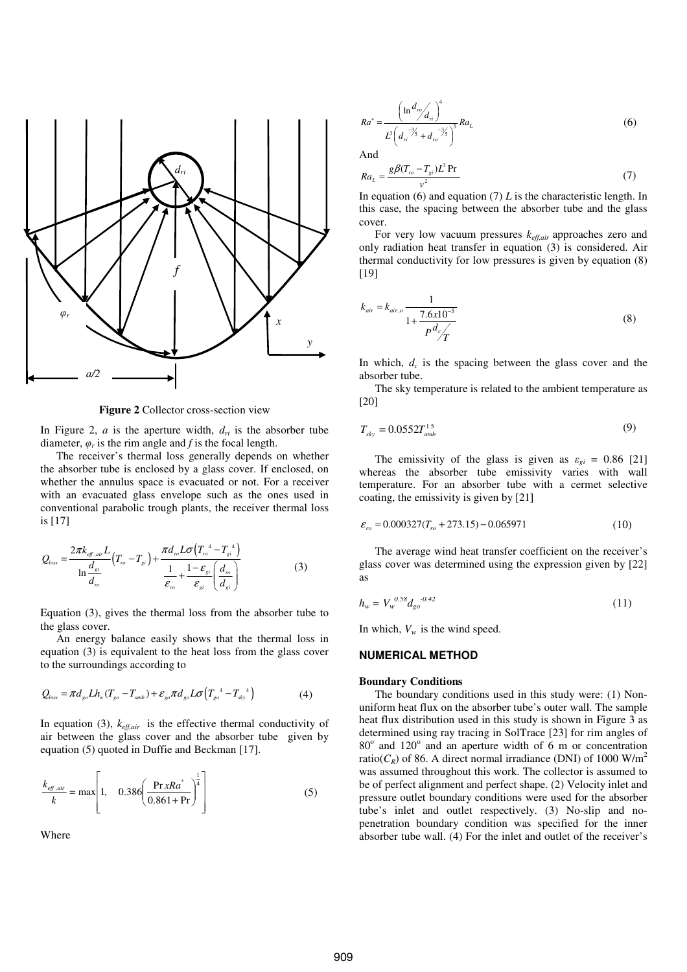

**Figure 2** Collector cross-section view

In Figure 2,  $\alpha$  is the aperture width,  $d_{ri}$  is the absorber tube diameter,  $\varphi_r$  is the rim angle and *f* is the focal length.

The receiver's thermal loss generally depends on whether the absorber tube is enclosed by a glass cover. If enclosed, on whether the annulus space is evacuated or not. For a receiver with an evacuated glass envelope such as the ones used in conventional parabolic trough plants, the receiver thermal loss is [17]

$$
Q_{loss} = \frac{2\pi k_{\text{eff.air}}L}{\ln\frac{d_{si}}{d_{ro}}} \left(T_{ro} - T_{si}\right) + \frac{\pi d_{ro}L\sigma \left(T_{ro}^4 - T_{si}^4\right)}{\frac{1}{\varepsilon_{ro}} + \frac{1 - \varepsilon_{si}}{\varepsilon_{si}} \left(\frac{d_{ro}}{d_{si}}\right)}
$$
(3)

Equation (3), gives the thermal loss from the absorber tube to the glass cover.

An energy balance easily shows that the thermal loss in equation (3) is equivalent to the heat loss from the glass cover to the surroundings according to

$$
Q_{loss} = \pi d_{go} L h_w (T_{go} - T_{amb}) + \varepsilon_{go} \pi d_{go} L \sigma (T_{go}^{4} - T_{sky}^{4})
$$
 (4)

In equation (3), *keff,air* is the effective thermal conductivity of air between the glass cover and the absorber tube given by equation (5) quoted in Duffie and Beckman [17].

$$
\frac{k_{eff,air}}{k} = \max\left[1, \quad 0.386 \left(\frac{\Pr xRa^*}{0.861 + \Pr}\right)^{\frac{1}{4}}\right]
$$
(5)

Where

$$
Ra^* = \frac{\left(\ln \frac{d_m}{d_n}\right)^4}{L^3 \left(d_n^{-3/2} + d_n^{-3/2}\right)^5} Ra_L
$$
 (6)

And

$$
Ra_{L} = \frac{g\beta(T_{r_o} - T_{gi})L^3 \Pr}{v^2}
$$
\n<sup>(7)</sup>

In equation (6) and equation (7)  $L$  is the characteristic length. In this case, the spacing between the absorber tube and the glass cover.

For very low vacuum pressures  $k_{\text{eff,air}}$  approaches zero and only radiation heat transfer in equation (3) is considered. Air thermal conductivity for low pressures is given by equation (8) [19]

$$
k_{air} = k_{air,o} \frac{1}{1 + \frac{7.6 \times 10^{-5}}{P^2 c / T}}
$$
 (8)

In which, *d<sup>c</sup>* is the spacing between the glass cover and the absorber tube.

The sky temperature is related to the ambient temperature as [20]

$$
T_{sky} = 0.0552 T_{amb}^{1.5}
$$
 (9)

The emissivity of the glass is given as  $\varepsilon_{gi} = 0.86$  [21] whereas the absorber tube emissivity varies with wall temperature. For an absorber tube with a cermet selective coating, the emissivity is given by [21]

$$
\varepsilon_{ro} = 0.000327(T_{ro} + 273.15) - 0.065971\tag{10}
$$

The average wind heat transfer coefficient on the receiver's glass cover was determined using the expression given by [22] as

$$
h_w = V_w^{0.58} d_{go}^{0.42} \tag{11}
$$

In which,  $V_w$  is the wind speed.

# **NUMERICAL METHOD**

#### **Boundary Conditions**

The boundary conditions used in this study were: (1) Nonuniform heat flux on the absorber tube's outer wall. The sample heat flux distribution used in this study is shown in Figure 3 as determined using ray tracing in SolTrace [23] for rim angles of 80° and 120° and an aperture width of 6 m or concentration ratio( $C_R$ ) of 86. A direct normal irradiance (DNI) of 1000 W/m<sup>2</sup> was assumed throughout this work. The collector is assumed to be of perfect alignment and perfect shape. (2) Velocity inlet and pressure outlet boundary conditions were used for the absorber tube's inlet and outlet respectively. (3) No-slip and nopenetration boundary condition was specified for the inner absorber tube wall. (4) For the inlet and outlet of the receiver's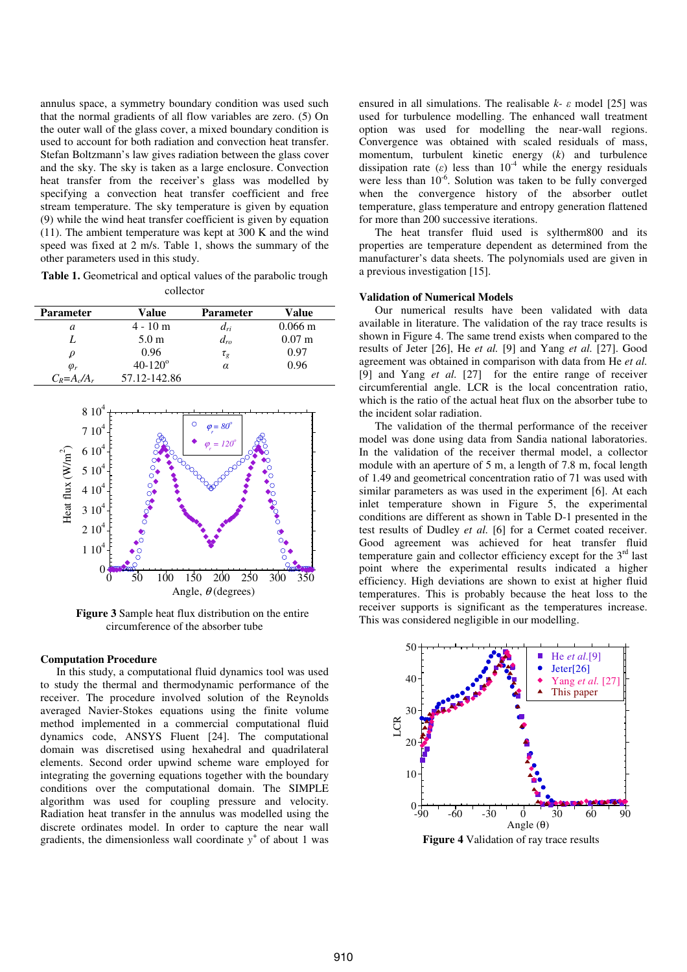annulus space, a symmetry boundary condition was used such that the normal gradients of all flow variables are zero. (5) On the outer wall of the glass cover, a mixed boundary condition is used to account for both radiation and convection heat transfer. Stefan Boltzmann's law gives radiation between the glass cover and the sky. The sky is taken as a large enclosure. Convection heat transfer from the receiver's glass was modelled by specifying a convection heat transfer coefficient and free stream temperature. The sky temperature is given by equation (9) while the wind heat transfer coefficient is given by equation (11). The ambient temperature was kept at 300 K and the wind speed was fixed at 2 m/s. Table 1, shows the summary of the other parameters used in this study.

**Table 1.** Geometrical and optical values of the parabolic trough collector

| <b>Parameter</b> | Value              | Parameter | Value                |
|------------------|--------------------|-----------|----------------------|
| a                | $4 - 10$ m         | $d_{ri}$  | $0.066 \,\mathrm{m}$ |
|                  | 5.0 <sub>m</sub>   | $d_{ro}$  | $0.07 \;{\rm m}$     |
|                  | 0.96               | $\tau_g$  | 0.97                 |
| $\varphi_r$      | $40 - 120^{\circ}$ | α         | 0.96                 |
| $C_R = A_c/A_r$  | 57.12-142.86       |           |                      |



**Figure 3** Sample heat flux distribution on the entire circumference of the absorber tube

#### **Computation Procedure**

In this study, a computational fluid dynamics tool was used to study the thermal and thermodynamic performance of the receiver. The procedure involved solution of the Reynolds averaged Navier-Stokes equations using the finite volume method implemented in a commercial computational fluid dynamics code, ANSYS Fluent [24]. The computational domain was discretised using hexahedral and quadrilateral elements. Second order upwind scheme ware employed for integrating the governing equations together with the boundary conditions over the computational domain. The SIMPLE algorithm was used for coupling pressure and velocity. Radiation heat transfer in the annulus was modelled using the discrete ordinates model. In order to capture the near wall gradients, the dimensionless wall coordinate  $y^+$  of about 1 was ensured in all simulations. The realisable *k-* ε model [25] was used for turbulence modelling. The enhanced wall treatment option was used for modelling the near-wall regions. Convergence was obtained with scaled residuals of mass, momentum, turbulent kinetic energy (*k*) and turbulence dissipation rate ( $\varepsilon$ ) less than 10<sup>-4</sup> while the energy residuals were less than  $10^{-6}$ . Solution was taken to be fully converged when the convergence history of the absorber outlet temperature, glass temperature and entropy generation flattened for more than 200 successive iterations.

The heat transfer fluid used is syltherm800 and its properties are temperature dependent as determined from the manufacturer's data sheets. The polynomials used are given in a previous investigation [15].

#### **Validation of Numerical Models**

Our numerical results have been validated with data available in literature. The validation of the ray trace results is shown in Figure 4. The same trend exists when compared to the results of Jeter [26], He *et al.* [9] and Yang *et al.* [27]. Good agreement was obtained in comparison with data from He *et al.*  [9] and Yang *et al.* [27] for the entire range of receiver circumferential angle. LCR is the local concentration ratio, which is the ratio of the actual heat flux on the absorber tube to the incident solar radiation.

The validation of the thermal performance of the receiver model was done using data from Sandia national laboratories. In the validation of the receiver thermal model, a collector module with an aperture of 5 m, a length of 7.8 m, focal length of 1.49 and geometrical concentration ratio of 71 was used with similar parameters as was used in the experiment [6]. At each inlet temperature shown in Figure 5, the experimental conditions are different as shown in Table D-1 presented in the test results of Dudley *et al.* [6] for a Cermet coated receiver. Good agreement was achieved for heat transfer fluid temperature gain and collector efficiency except for the  $3<sup>rd</sup>$  last point where the experimental results indicated a higher efficiency. High deviations are shown to exist at higher fluid temperatures. This is probably because the heat loss to the receiver supports is significant as the temperatures increase. This was considered negligible in our modelling.



**Figure 4** Validation of ray trace results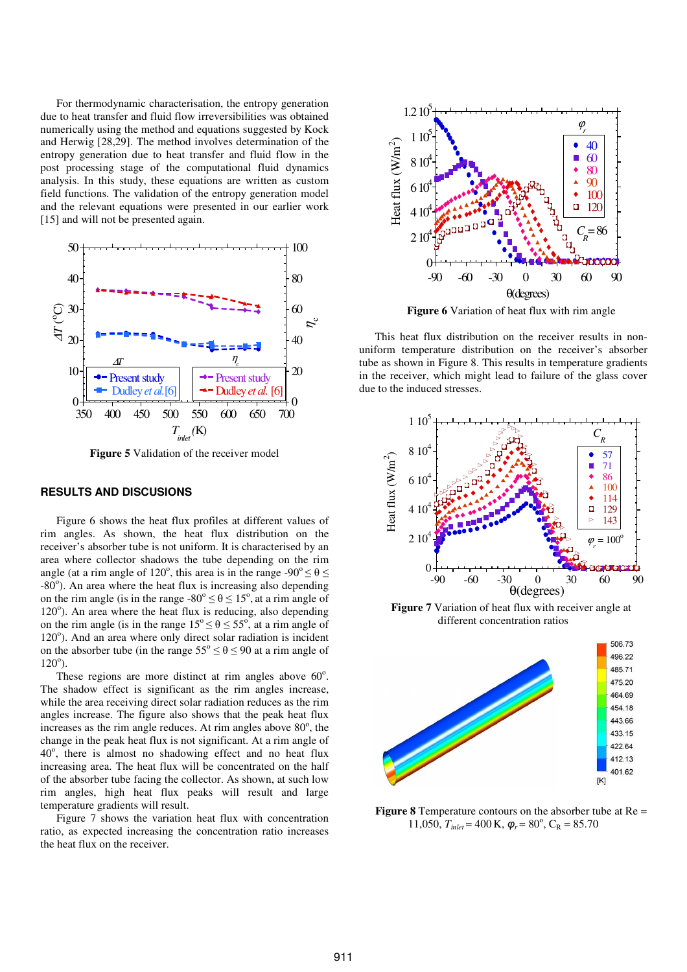For thermodynamic characterisation, the entropy generation due to heat transfer and fluid flow irreversibilities was obtained numerically using the method and equations suggested by Kock and Herwig [28,29]. The method involves determination of the entropy generation due to heat transfer and fluid flow in the post processing stage of the computational fluid dynamics analysis. In this study, these equations are written as custom field functions. The validation of the entropy generation model and the relevant equations were presented in our earlier work [15] and will not be presented again.



**Figure 5** Validation of the receiver model

# **RESULTS AND DISCUSIONS**

Figure 6 shows the heat flux profiles at different values of rim angles. As shown, the heat flux distribution on the receiver's absorber tube is not uniform. It is characterised by an area where collector shadows the tube depending on the rim angle (at a rim angle of 120°, this area is in the range -90°  $\leq \theta \leq$  $-80^\circ$ ). An area where the heat flux is increasing also depending on the rim angle (is in the range  $-80^{\circ} \le \theta \le 15^{\circ}$ , at a rim angle of 120°). An area where the heat flux is reducing, also depending on the rim angle (is in the range  $15^{\circ} \le \theta \le 55^{\circ}$ , at a rim angle of 120°). And an area where only direct solar radiation is incident on the absorber tube (in the range  $55^{\circ} \le \theta \le 90$  at a rim angle of  $120^{\circ}$ ).

These regions are more distinct at rim angles above  $60^\circ$ . The shadow effect is significant as the rim angles increase, while the area receiving direct solar radiation reduces as the rim angles increase. The figure also shows that the peak heat flux increases as the rim angle reduces. At rim angles above  $80^\circ$ , the change in the peak heat flux is not significant. At a rim angle of 40°, there is almost no shadowing effect and no heat flux increasing area. The heat flux will be concentrated on the half of the absorber tube facing the collector. As shown, at such low rim angles, high heat flux peaks will result and large temperature gradients will result.

Figure 7 shows the variation heat flux with concentration ratio, as expected increasing the concentration ratio increases the heat flux on the receiver.



**Figure 6** Variation of heat flux with rim angle

This heat flux distribution on the receiver results in nonuniform temperature distribution on the receiver's absorber tube as shown in Figure 8. This results in temperature gradients in the receiver, which might lead to failure of the glass cover due to the induced stresses.



**Figure 7** Variation of heat flux with receiver angle at different concentration ratios



**Figure 8** Temperature contours on the absorber tube at Re = 11,050,  $T_{\text{inlet}} = 400 \text{ K}$ ,  $\varphi_r = 80^\circ$ ,  $C_R = 85.70$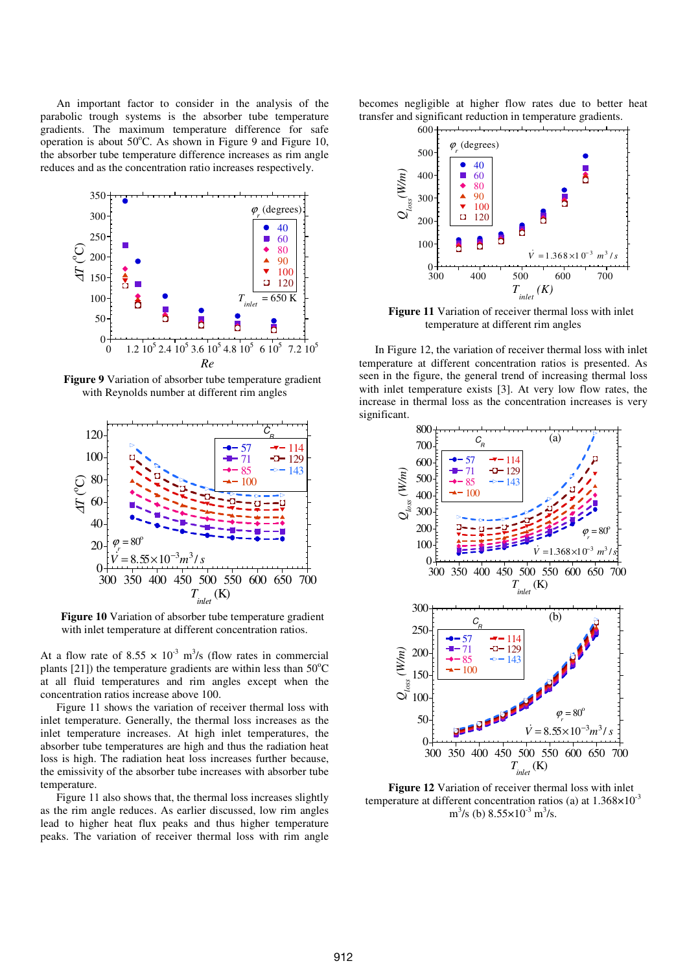An important factor to consider in the analysis of the parabolic trough systems is the absorber tube temperature gradients. The maximum temperature difference for safe operation is about  $50^{\circ}$ C. As shown in Figure 9 and Figure 10, the absorber tube temperature difference increases as rim angle reduces and as the concentration ratio increases respectively.



**Figure 9** Variation of absorber tube temperature gradient with Reynolds number at different rim angles



**Figure 10** Variation of absorber tube temperature gradient with inlet temperature at different concentration ratios.

At a flow rate of  $8.55 \times 10^{-3}$  m<sup>3</sup>/s (flow rates in commercial plants [21]) the temperature gradients are within less than  $50^{\circ}$ C at all fluid temperatures and rim angles except when the concentration ratios increase above 100.

Figure 11 shows the variation of receiver thermal loss with inlet temperature. Generally, the thermal loss increases as the inlet temperature increases. At high inlet temperatures, the absorber tube temperatures are high and thus the radiation heat loss is high. The radiation heat loss increases further because, the emissivity of the absorber tube increases with absorber tube temperature.

Figure 11 also shows that, the thermal loss increases slightly as the rim angle reduces. As earlier discussed, low rim angles lead to higher heat flux peaks and thus higher temperature peaks. The variation of receiver thermal loss with rim angle becomes negligible at higher flow rates due to better heat transfer and significant reduction in temperature gradients.



**Figure 11** Variation of receiver thermal loss with inlet temperature at different rim angles

In Figure 12, the variation of receiver thermal loss with inlet temperature at different concentration ratios is presented. As seen in the figure, the general trend of increasing thermal loss with inlet temperature exists [3]. At very low flow rates, the increase in thermal loss as the concentration increases is very significant.



**Figure 12** Variation of receiver thermal loss with inlet temperature at different concentration ratios (a) at  $1.368\times10^{-3}$  $\text{m}^3\text{/s}$  (b)  $8.55 \times 10^{-3} \text{ m}^3\text{/s}$ .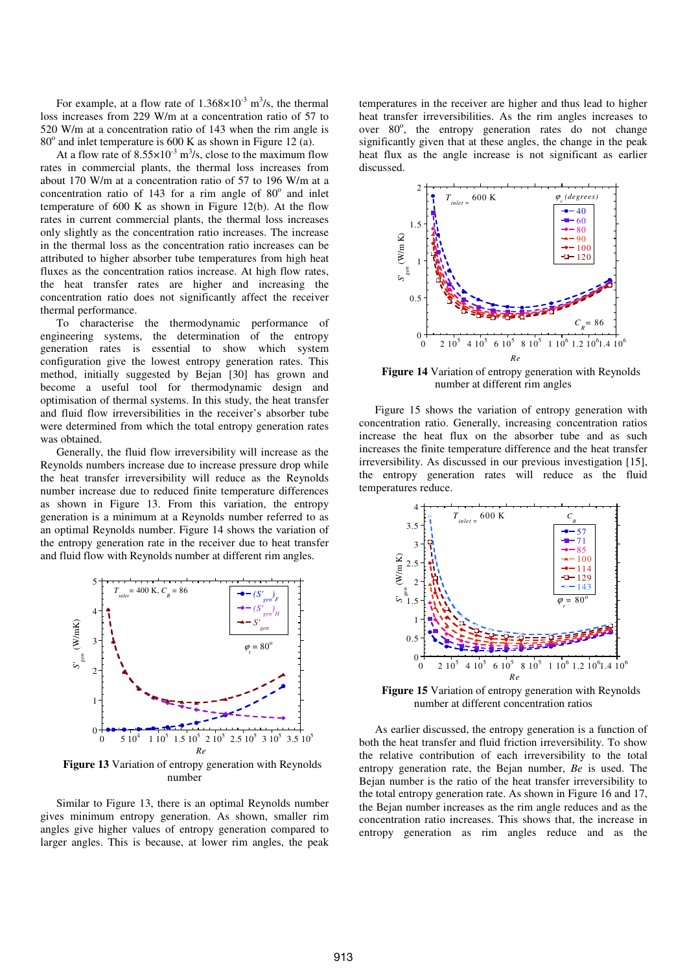For example, at a flow rate of  $1.368 \times 10^{-3}$  m<sup>3</sup>/s, the thermal loss increases from 229 W/m at a concentration ratio of 57 to 520 W/m at a concentration ratio of 143 when the rim angle is  $80^\circ$  and inlet temperature is 600 K as shown in Figure 12 (a).

At a flow rate of  $8.55 \times 10^{-3}$  m<sup>3</sup>/s, close to the maximum flow rates in commercial plants, the thermal loss increases from about 170 W/m at a concentration ratio of 57 to 196 W/m at a concentration ratio of  $143$  for a rim angle of  $80^\circ$  and inlet temperature of 600 K as shown in Figure 12(b). At the flow rates in current commercial plants, the thermal loss increases only slightly as the concentration ratio increases. The increase in the thermal loss as the concentration ratio increases can be attributed to higher absorber tube temperatures from high heat fluxes as the concentration ratios increase. At high flow rates, the heat transfer rates are higher and increasing the concentration ratio does not significantly affect the receiver thermal performance.

To characterise the thermodynamic performance of engineering systems, the determination of the entropy generation rates is essential to show which system configuration give the lowest entropy generation rates. This method, initially suggested by Bejan [30] has grown and become a useful tool for thermodynamic design and optimisation of thermal systems. In this study, the heat transfer and fluid flow irreversibilities in the receiver's absorber tube were determined from which the total entropy generation rates was obtained.

Generally, the fluid flow irreversibility will increase as the Reynolds numbers increase due to increase pressure drop while the heat transfer irreversibility will reduce as the Reynolds number increase due to reduced finite temperature differences as shown in Figure 13. From this variation, the entropy generation is a minimum at a Reynolds number referred to as an optimal Reynolds number. Figure 14 shows the variation of the entropy generation rate in the receiver due to heat transfer and fluid flow with Reynolds number at different rim angles.



**Figure 13** Variation of entropy generation with Reynolds number

Similar to Figure 13, there is an optimal Reynolds number gives minimum entropy generation. As shown, smaller rim angles give higher values of entropy generation compared to larger angles. This is because, at lower rim angles, the peak

temperatures in the receiver are higher and thus lead to higher heat transfer irreversibilities. As the rim angles increases to over 80°, the entropy generation rates do not change significantly given that at these angles, the change in the peak heat flux as the angle increase is not significant as earlier discussed.



**Figure 14** Variation of entropy generation with Reynolds number at different rim angles

Figure 15 shows the variation of entropy generation with concentration ratio. Generally, increasing concentration ratios increase the heat flux on the absorber tube and as such increases the finite temperature difference and the heat transfer irreversibility. As discussed in our previous investigation [15], the entropy generation rates will reduce as the fluid temperatures reduce.



**Figure 15** Variation of entropy generation with Reynolds number at different concentration ratios

As earlier discussed, the entropy generation is a function of both the heat transfer and fluid friction irreversibility. To show the relative contribution of each irreversibility to the total entropy generation rate, the Bejan number, *Be* is used. The Bejan number is the ratio of the heat transfer irreversibility to the total entropy generation rate. As shown in Figure 16 and 17, the Bejan number increases as the rim angle reduces and as the concentration ratio increases. This shows that, the increase in entropy generation as rim angles reduce and as the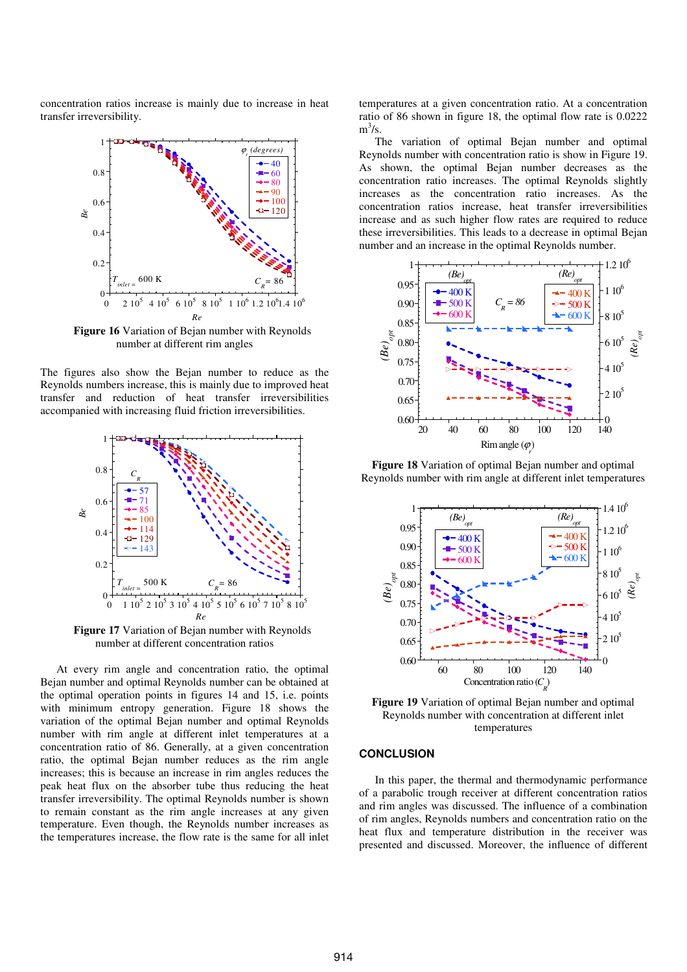concentration ratios increase is mainly due to increase in heat transfer irreversibility.



**Figure 16** Variation of Bejan number with Reynolds number at different rim angles

The figures also show the Bejan number to reduce as the Reynolds numbers increase, this is mainly due to improved heat transfer and reduction of heat transfer irreversibilities accompanied with increasing fluid friction irreversibilities.



**Figure 17** Variation of Bejan number with Reynolds number at different concentration ratios

At every rim angle and concentration ratio, the optimal Bejan number and optimal Reynolds number can be obtained at the optimal operation points in figures 14 and 15, i.e. points with minimum entropy generation. Figure 18 shows the variation of the optimal Bejan number and optimal Reynolds number with rim angle at different inlet temperatures at a concentration ratio of 86. Generally, at a given concentration ratio, the optimal Bejan number reduces as the rim angle increases; this is because an increase in rim angles reduces the peak heat flux on the absorber tube thus reducing the heat transfer irreversibility. The optimal Reynolds number is shown to remain constant as the rim angle increases at any given temperature. Even though, the Reynolds number increases as the temperatures increase, the flow rate is the same for all inlet temperatures at a given concentration ratio. At a concentration ratio of 86 shown in figure 18, the optimal flow rate is 0.0222  $m^3/s$ .

The variation of optimal Bejan number and optimal Reynolds number with concentration ratio is show in Figure 19. As shown, the optimal Bejan number decreases as the concentration ratio increases. The optimal Reynolds slightly increases as the concentration ratio increases. As the concentration ratios increase, heat transfer irreversibilities increase and as such higher flow rates are required to reduce these irreversibilities. This leads to a decrease in optimal Bejan number and an increase in the optimal Reynolds number.



**Figure 18** Variation of optimal Bejan number and optimal Reynolds number with rim angle at different inlet temperatures



**Figure 19** Variation of optimal Bejan number and optimal Reynolds number with concentration at different inlet temperatures

### **CONCLUSION**

In this paper, the thermal and thermodynamic performance of a parabolic trough receiver at different concentration ratios and rim angles was discussed. The influence of a combination of rim angles, Reynolds numbers and concentration ratio on the heat flux and temperature distribution in the receiver was presented and discussed. Moreover, the influence of different